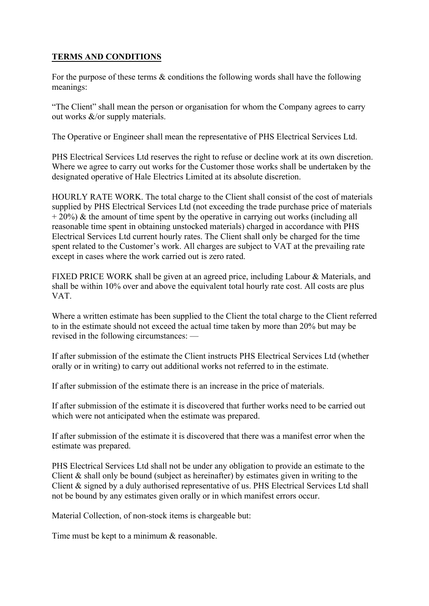## **TERMS AND CONDITIONS**

For the purpose of these terms & conditions the following words shall have the following meanings:

"The Client" shall mean the person or organisation for whom the Company agrees to carry out works &/or supply materials.

The Operative or Engineer shall mean the representative of PHS Electrical Services Ltd.

PHS Electrical Services Ltd reserves the right to refuse or decline work at its own discretion. Where we agree to carry out works for the Customer those works shall be undertaken by the designated operative of Hale Electrics Limited at its absolute discretion.

HOURLY RATE WORK. The total charge to the Client shall consist of the cost of materials supplied by PHS Electrical Services Ltd (not exceeding the trade purchase price of materials  $+ 20\%$ ) & the amount of time spent by the operative in carrying out works (including all reasonable time spent in obtaining unstocked materials) charged in accordance with PHS Electrical Services Ltd current hourly rates. The Client shall only be charged for the time spent related to the Customer's work. All charges are subject to VAT at the prevailing rate except in cases where the work carried out is zero rated.

FIXED PRICE WORK shall be given at an agreed price, including Labour & Materials, and shall be within 10% over and above the equivalent total hourly rate cost. All costs are plus VAT.

Where a written estimate has been supplied to the Client the total charge to the Client referred to in the estimate should not exceed the actual time taken by more than 20% but may be revised in the following circumstances: —

If after submission of the estimate the Client instructs PHS Electrical Services Ltd (whether orally or in writing) to carry out additional works not referred to in the estimate.

If after submission of the estimate there is an increase in the price of materials.

If after submission of the estimate it is discovered that further works need to be carried out which were not anticipated when the estimate was prepared.

If after submission of the estimate it is discovered that there was a manifest error when the estimate was prepared.

PHS Electrical Services Ltd shall not be under any obligation to provide an estimate to the Client  $\&$  shall only be bound (subject as hereinafter) by estimates given in writing to the Client & signed by a duly authorised representative of us. PHS Electrical Services Ltd shall not be bound by any estimates given orally or in which manifest errors occur.

Material Collection, of non-stock items is chargeable but:

Time must be kept to a minimum & reasonable.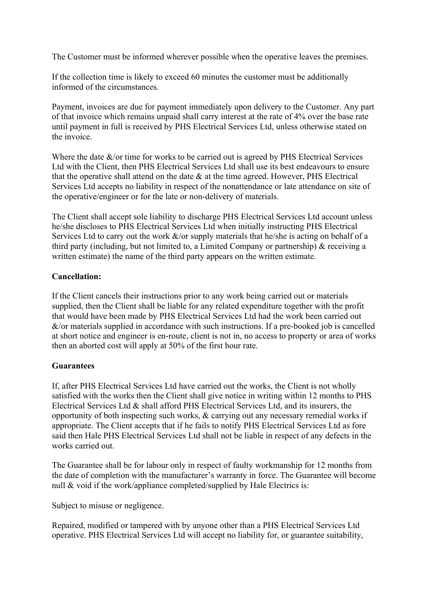The Customer must be informed wherever possible when the operative leaves the premises.

If the collection time is likely to exceed 60 minutes the customer must be additionally informed of the circumstances.

Payment, invoices are due for payment immediately upon delivery to the Customer. Any part of that invoice which remains unpaid shall carry interest at the rate of 4% over the base rate until payment in full is received by PHS Electrical Services Ltd, unless otherwise stated on the invoice.

Where the date  $\&$ /or time for works to be carried out is agreed by PHS Electrical Services Ltd with the Client, then PHS Electrical Services Ltd shall use its best endeavours to ensure that the operative shall attend on the date  $\&$  at the time agreed. However, PHS Electrical Services Ltd accepts no liability in respect of the nonattendance or late attendance on site of the operative/engineer or for the late or non-delivery of materials.

The Client shall accept sole liability to discharge PHS Electrical Services Ltd account unless he/she discloses to PHS Electrical Services Ltd when initially instructing PHS Electrical Services Ltd to carry out the work  $\&$ /or supply materials that he/she is acting on behalf of a third party (including, but not limited to, a Limited Company or partnership) & receiving a written estimate) the name of the third party appears on the written estimate.

## **Cancellation:**

If the Client cancels their instructions prior to any work being carried out or materials supplied, then the Client shall be liable for any related expenditure together with the profit that would have been made by PHS Electrical Services Ltd had the work been carried out  $&$ /or materials supplied in accordance with such instructions. If a pre-booked job is cancelled at short notice and engineer is en-route, client is not in, no access to property or area of works then an aborted cost will apply at 50% of the first hour rate.

## **Guarantees**

If, after PHS Electrical Services Ltd have carried out the works, the Client is not wholly satisfied with the works then the Client shall give notice in writing within 12 months to PHS Electrical Services Ltd & shall afford PHS Electrical Services Ltd, and its insurers, the opportunity of both inspecting such works, & carrying out any necessary remedial works if appropriate. The Client accepts that if he fails to notify PHS Electrical Services Ltd as fore said then Hale PHS Electrical Services Ltd shall not be liable in respect of any defects in the works carried out.

The Guarantee shall be for labour only in respect of faulty workmanship for 12 months from the date of completion with the manufacturer's warranty in force. The Guarantee will become null  $\&$  void if the work/appliance completed/supplied by Hale Electrics is:

Subject to misuse or negligence.

Repaired, modified or tampered with by anyone other than a PHS Electrical Services Ltd operative. PHS Electrical Services Ltd will accept no liability for, or guarantee suitability,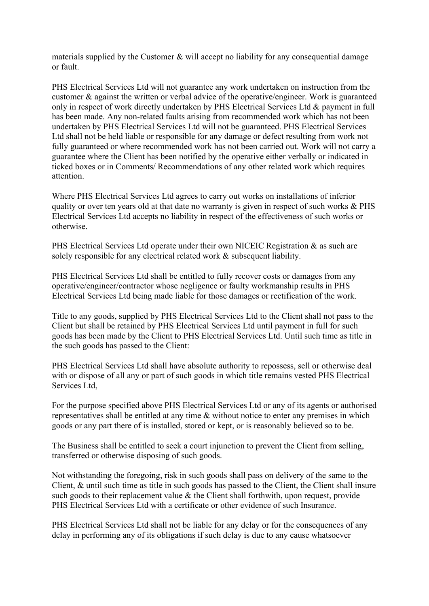materials supplied by the Customer & will accept no liability for any consequential damage or fault.

PHS Electrical Services Ltd will not guarantee any work undertaken on instruction from the customer & against the written or verbal advice of the operative/engineer. Work is guaranteed only in respect of work directly undertaken by PHS Electrical Services Ltd & payment in full has been made. Any non-related faults arising from recommended work which has not been undertaken by PHS Electrical Services Ltd will not be guaranteed. PHS Electrical Services Ltd shall not be held liable or responsible for any damage or defect resulting from work not fully guaranteed or where recommended work has not been carried out. Work will not carry a guarantee where the Client has been notified by the operative either verbally or indicated in ticked boxes or in Comments/ Recommendations of any other related work which requires attention.

Where PHS Electrical Services Ltd agrees to carry out works on installations of inferior quality or over ten years old at that date no warranty is given in respect of such works & PHS Electrical Services Ltd accepts no liability in respect of the effectiveness of such works or otherwise.

PHS Electrical Services Ltd operate under their own NICEIC Registration & as such are solely responsible for any electrical related work & subsequent liability.

PHS Electrical Services Ltd shall be entitled to fully recover costs or damages from any operative/engineer/contractor whose negligence or faulty workmanship results in PHS Electrical Services Ltd being made liable for those damages or rectification of the work.

Title to any goods, supplied by PHS Electrical Services Ltd to the Client shall not pass to the Client but shall be retained by PHS Electrical Services Ltd until payment in full for such goods has been made by the Client to PHS Electrical Services Ltd. Until such time as title in the such goods has passed to the Client:

PHS Electrical Services Ltd shall have absolute authority to repossess, sell or otherwise deal with or dispose of all any or part of such goods in which title remains vested PHS Electrical Services Ltd,

For the purpose specified above PHS Electrical Services Ltd or any of its agents or authorised representatives shall be entitled at any time & without notice to enter any premises in which goods or any part there of is installed, stored or kept, or is reasonably believed so to be.

The Business shall be entitled to seek a court injunction to prevent the Client from selling, transferred or otherwise disposing of such goods.

Not withstanding the foregoing, risk in such goods shall pass on delivery of the same to the Client, & until such time as title in such goods has passed to the Client, the Client shall insure such goods to their replacement value  $\&$  the Client shall forthwith, upon request, provide PHS Electrical Services Ltd with a certificate or other evidence of such Insurance.

PHS Electrical Services Ltd shall not be liable for any delay or for the consequences of any delay in performing any of its obligations if such delay is due to any cause whatsoever